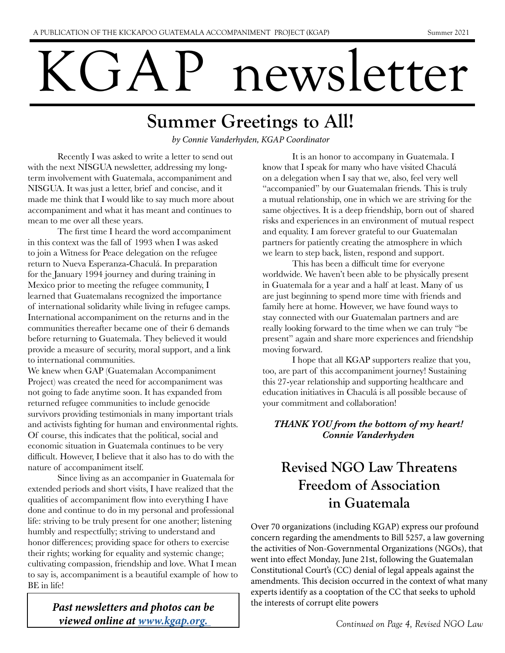# KGAP newsletter

# Summer Greetings to All!

*by Connie Vanderhyden, KGAP Coordinator*

Recently I was asked to write a letter to send out with the next NISGUA newsletter, addressing my longterm involvement with Guatemala, accompaniment and NISGUA. It was just a letter, brief and concise, and it made me think that I would like to say much more about accompaniment and what it has meant and continues to mean to me over all these years.

 The first time I heard the word accompaniment in this context was the fall of 1993 when I was asked to join a Witness for Peace delegation on the refugee return to Nueva Esperanza-Chaculá. In preparation for the January 1994 journey and during training in Mexico prior to meeting the refugee community, I learned that Guatemalans recognized the importance of international solidarity while living in refugee camps. International accompaniment on the returns and in the communities thereafter became one of their 6 demands before returning to Guatemala. They believed it would provide a measure of security, moral support, and a link to international communities.

We knew when GAP (Guatemalan Accompaniment Project) was created the need for accompaniment was not going to fade anytime soon. It has expanded from returned refugee communities to include genocide survivors providing testimonials in many important trials and activists fighting for human and environmental rights. Of course, this indicates that the political, social and economic situation in Guatemala continues to be very difficult. However, I believe that it also has to do with the nature of accompaniment itself.

Since living as an accompanier in Guatemala for extended periods and short visits, I have realized that the qualities of accompaniment flow into everything I have done and continue to do in my personal and professional life: striving to be truly present for one another; listening humbly and respectfully; striving to understand and honor differences; providing space for others to exercise their rights; working for equality and systemic change; cultivating compassion, friendship and love. What I mean to say is, accompaniment is a beautiful example of how to BE in life!

> *Past newsletters and photos can be viewed online at www.kgap.org.*

It is an honor to accompany in Guatemala. I know that I speak for many who have visited Chaculá on a delegation when I say that we, also, feel very well "accompanied" by our Guatemalan friends. This is truly a mutual relationship, one in which we are striving for the same objectives. It is a deep friendship, born out of shared risks and experiences in an environment of mutual respect and equality. I am forever grateful to our Guatemalan partners for patiently creating the atmosphere in which we learn to step back, listen, respond and support.

 This has been a difficult time for everyone worldwide. We haven't been able to be physically present in Guatemala for a year and a half at least. Many of us are just beginning to spend more time with friends and family here at home. However, we have found ways to stay connected with our Guatemalan partners and are really looking forward to the time when we can truly "be present" again and share more experiences and friendship moving forward.

I hope that all KGAP supporters realize that you, too, are part of this accompaniment journey! Sustaining this 27-year relationship and supporting healthcare and education initiatives in Chaculá is all possible because of your commitment and collaboration!

#### *THANK YOU from the bottom of my heart! Connie Vanderhyden*

### Revised NGO Law Threatens Freedom of Association in Guatemala

Over 70 organizations (including KGAP) express our profound concern regarding the amendments to Bill 5257, a law governing the activities of Non-Governmental Organizations (NGOs), that went into effect Monday, June 21st, following the Guatemalan Constitutional Court's (CC) denial of legal appeals against the amendments. This decision occurred in the context of what many experts identify as a cooptation of the CC that seeks to uphold the interests of corrupt elite powers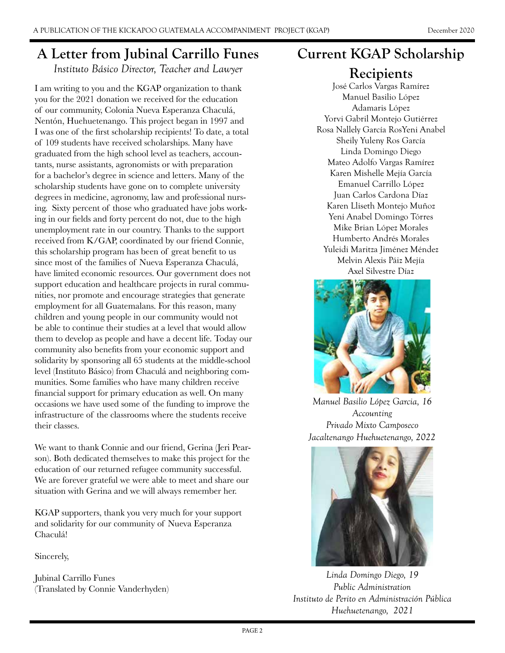#### A Letter from Jubinal Carrillo Funes

*Instituto Básico Director, Teacher and Lawyer*

I am writing to you and the KGAP organization to thank you for the 2021 donation we received for the education of our community, Colonia Nueva Esperanza Chaculá, Nentón, Huehuetenango. This project began in 1997 and I was one of the first scholarship recipients! To date, a total of 109 students have received scholarships. Many have graduated from the high school level as teachers, accountants, nurse assistants, agronomists or with preparation for a bachelor's degree in science and letters. Many of the scholarship students have gone on to complete university degrees in medicine, agronomy, law and professional nursing. Sixty percent of those who graduated have jobs working in our fields and forty percent do not, due to the high unemployment rate in our country. Thanks to the support received from K/GAP, coordinated by our friend Connie, this scholarship program has been of great benefit to us since most of the families of Nueva Esperanza Chaculá, have limited economic resources. Our government does not support education and healthcare projects in rural communities, nor promote and encourage strategies that generate employment for all Guatemalans. For this reason, many children and young people in our community would not be able to continue their studies at a level that would allow them to develop as people and have a decent life. Today our community also benefits from your economic support and solidarity by sponsoring all 65 students at the middle-school level (Instituto Básico) from Chaculá and neighboring communities. Some families who have many children receive financial support for primary education as well. On many occasions we have used some of the funding to improve the infrastructure of the classrooms where the students receive their classes.

We want to thank Connie and our friend, Gerina (Jeri Pearson). Both dedicated themselves to make this project for the education of our returned refugee community successful. We are forever grateful we were able to meet and share our situation with Gerina and we will always remember her.

KGAP supporters, thank you very much for your support and solidarity for our community of Nueva Esperanza Chaculá!

Sincerely,

Jubinal Carrillo Funes (Translated by Connie Vanderhyden)

#### Current KGAP Scholarship

#### **Recipients**

José Carlos Vargas Ramírez Manuel Basilio López Adamaris López Yorvi Gabril Montejo Gutiérrez Rosa Nallely García RosYeni Anabel Sheily Yuleny Ros García Linda Domingo Diego Mateo Adolfo Vargas Ramírez Karen Mishelle Mejía García Emanuel Carrillo López Juan Carlos Cardona Díaz Karen Lliseth Montejo Muñoz Yeni Anabel Domingo Tórres Mike Brian López Morales Humberto Andrés Morales Yuleidi Maritza Jiménez Méndez Melvin Alexis Páiz Mejía Axel Silvestre Díaz



*Manuel Basilio López Garcia, 16 Accounting Privado Mixto Camposeco Jacaltenango Huehuetenango, 2022*



*Linda Domingo Diego, 19 Public Administration Instituto de Perito en Administración Pública Huehuetenango, 2021*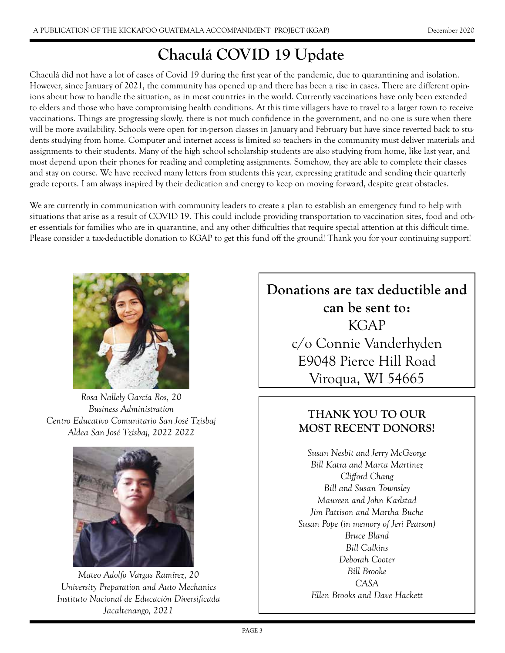## Chaculá COVID 19 Update

Chaculá did not have a lot of cases of Covid 19 during the first year of the pandemic, due to quarantining and isolation. However, since January of 2021, the community has opened up and there has been a rise in cases. There are different opinions about how to handle the situation, as in most countries in the world. Currently vaccinations have only been extended to elders and those who have compromising health conditions. At this time villagers have to travel to a larger town to receive vaccinations. Things are progressing slowly, there is not much confidence in the government, and no one is sure when there will be more availability. Schools were open for in-person classes in January and February but have since reverted back to students studying from home. Computer and internet access is limited so teachers in the community must deliver materials and assignments to their students. Many of the high school scholarship students are also studying from home, like last year, and most depend upon their phones for reading and completing assignments. Somehow, they are able to complete their classes and stay on course. We have received many letters from students this year, expressing gratitude and sending their quarterly grade reports. I am always inspired by their dedication and energy to keep on moving forward, despite great obstacles.

We are currently in communication with community leaders to create a plan to establish an emergency fund to help with situations that arise as a result of COVID 19. This could include providing transportation to vaccination sites, food and other essentials for families who are in quarantine, and any other difficulties that require special attention at this difficult time. Please consider a tax-deductible donation to KGAP to get this fund off the ground! Thank you for your continuing support!



*Rosa Nallely García Ros, 20 Business Administration Centro Educativo Comunitario San José Tzisbaj Aldea San José Tzisbaj, 2022 2022*



*Mateo Adolfo Vargas Ramírez, 20 University Preparation and Auto Mechanics Instituto Nacional de Educación Diversificada Jacaltenango, 2021*



#### THANK YOU TO OUR MOST RECENT DONORS!

*Susan Nesbit and Jerry McGeorge Bill Katra and Marta Martinez Clifford Chang Bill and Susan Townsley Maureen and John Karlstad Jim Pattison and Martha Buche Susan Pope (in memory of Jeri Pearson) Bruce Bland Bill Calkins Deborah Cooter Bill Brooke CASA Ellen Brooks and Dave Hackett*